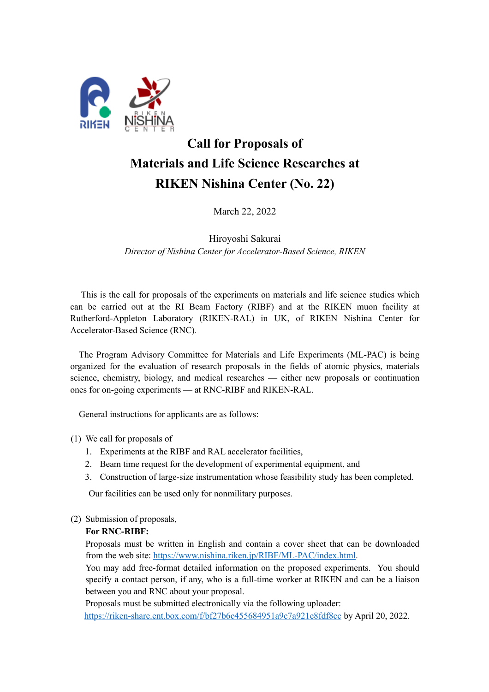

# **Call for Proposals of Materials and Life Science Researches at RIKEN Nishina Center (No. 22)**

March 22, 2022

Hiroyoshi Sakurai *Director of Nishina Center for Accelerator-Based Science, RIKEN* 

This is the call for proposals of the experiments on materials and life science studies which can be carried out at the RI Beam Factory (RIBF) and at the RIKEN muon facility at Rutherford-Appleton Laboratory (RIKEN-RAL) in UK, of RIKEN Nishina Center for Accelerator-Based Science (RNC).

The Program Advisory Committee for Materials and Life Experiments (ML-PAC) is being organized for the evaluation of research proposals in the fields of atomic physics, materials science, chemistry, biology, and medical researches — either new proposals or continuation ones for on-going experiments — at RNC-RIBF and RIKEN-RAL.

General instructions for applicants are as follows:

- (1) We call for proposals of
	- 1. Experiments at the RIBF and RAL accelerator facilities,
	- 2. Beam time request for the development of experimental equipment, and
	- 3. Construction of large-size instrumentation whose feasibility study has been completed.

Our facilities can be used only for nonmilitary purposes.

#### (2) Submission of proposals,

#### **For RNC-RIBF:**

Proposals must be written in English and contain a cover sheet that can be downloaded from the web site: https://www.nishina.riken.jp/RIBF/ML-PAC/index.html.

You may add free-format detailed information on the proposed experiments. You should specify a contact person, if any, who is a full-time worker at RIKEN and can be a liaison between you and RNC about your proposal.

Proposals must be submitted electronically via the following uploader:

https://riken-share.ent.box.com/f/bf27b6c455684951a9c7a921e8fdf8cc by April 20, 2022.